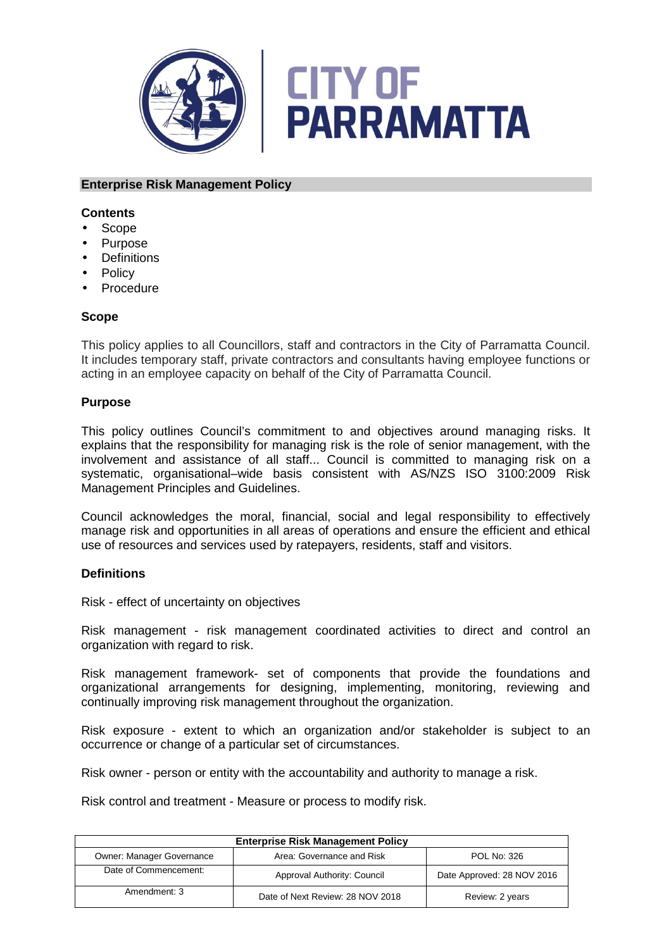



### **Enterprise Risk Management Policy**

### **Contents**

- Scope
- Purpose
- Definitions
- **Policy**
- **Procedure**

#### **Scope**

This policy applies to all Councillors, staff and contractors in the City of Parramatta Council. It includes temporary staff, private contractors and consultants having employee functions or acting in an employee capacity on behalf of the City of Parramatta Council.

#### **Purpose**

This policy outlines Council's commitment to and objectives around managing risks. It explains that the responsibility for managing risk is the role of senior management, with the involvement and assistance of all staff... Council is committed to managing risk on a systematic, organisational–wide basis consistent with AS/NZS ISO 3100:2009 Risk Management Principles and Guidelines.

Council acknowledges the moral, financial, social and legal responsibility to effectively manage risk and opportunities in all areas of operations and ensure the efficient and ethical use of resources and services used by ratepayers, residents, staff and visitors.

# **Definitions**

Risk - effect of uncertainty on objectives

Risk management - risk management coordinated activities to direct and control an organization with regard to risk.

Risk management framework- set of components that provide the foundations and organizational arrangements for designing, implementing, monitoring, reviewing and continually improving risk management throughout the organization.

Risk exposure - extent to which an organization and/or stakeholder is subject to an occurrence or change of a particular set of circumstances.

Risk owner - person or entity with the accountability and authority to manage a risk.

Risk control and treatment - Measure or process to modify risk.

| <b>Enterprise Risk Management Policy</b> |                                  |                            |  |
|------------------------------------------|----------------------------------|----------------------------|--|
| <b>Owner: Manager Governance</b>         | Area: Governance and Risk        | <b>POL No: 326</b>         |  |
| Date of Commencement:                    | Approval Authority: Council      | Date Approved: 28 NOV 2016 |  |
| Amendment: 3                             | Date of Next Review: 28 NOV 2018 | Review: 2 years            |  |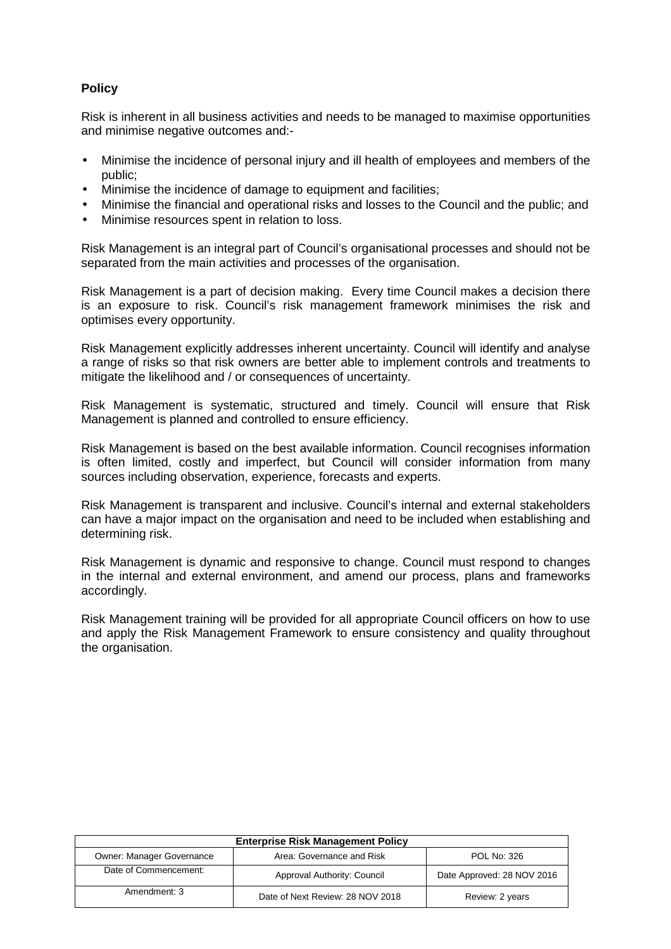# **Policy**

Risk is inherent in all business activities and needs to be managed to maximise opportunities and minimise negative outcomes and:-

- Minimise the incidence of personal injury and ill health of employees and members of the public;
- Minimise the incidence of damage to equipment and facilities;
- Minimise the financial and operational risks and losses to the Council and the public; and
- Minimise resources spent in relation to loss.

Risk Management is an integral part of Council's organisational processes and should not be separated from the main activities and processes of the organisation.

Risk Management is a part of decision making. Every time Council makes a decision there is an exposure to risk. Council's risk management framework minimises the risk and optimises every opportunity.

Risk Management explicitly addresses inherent uncertainty. Council will identify and analyse a range of risks so that risk owners are better able to implement controls and treatments to mitigate the likelihood and / or consequences of uncertainty.

Risk Management is systematic, structured and timely. Council will ensure that Risk Management is planned and controlled to ensure efficiency.

Risk Management is based on the best available information. Council recognises information is often limited, costly and imperfect, but Council will consider information from many sources including observation, experience, forecasts and experts.

Risk Management is transparent and inclusive. Council's internal and external stakeholders can have a major impact on the organisation and need to be included when establishing and determining risk.

Risk Management is dynamic and responsive to change. Council must respond to changes in the internal and external environment, and amend our process, plans and frameworks accordingly.

Risk Management training will be provided for all appropriate Council officers on how to use and apply the Risk Management Framework to ensure consistency and quality throughout the organisation.

| <b>Enterprise Risk Management Policy</b> |                                  |                            |  |
|------------------------------------------|----------------------------------|----------------------------|--|
| <b>Owner: Manager Governance</b>         | Area: Governance and Risk        | <b>POL No: 326</b>         |  |
| Date of Commencement:                    | Approval Authority: Council      | Date Approved: 28 NOV 2016 |  |
| Amendment: 3                             | Date of Next Review: 28 NOV 2018 | Review: 2 years            |  |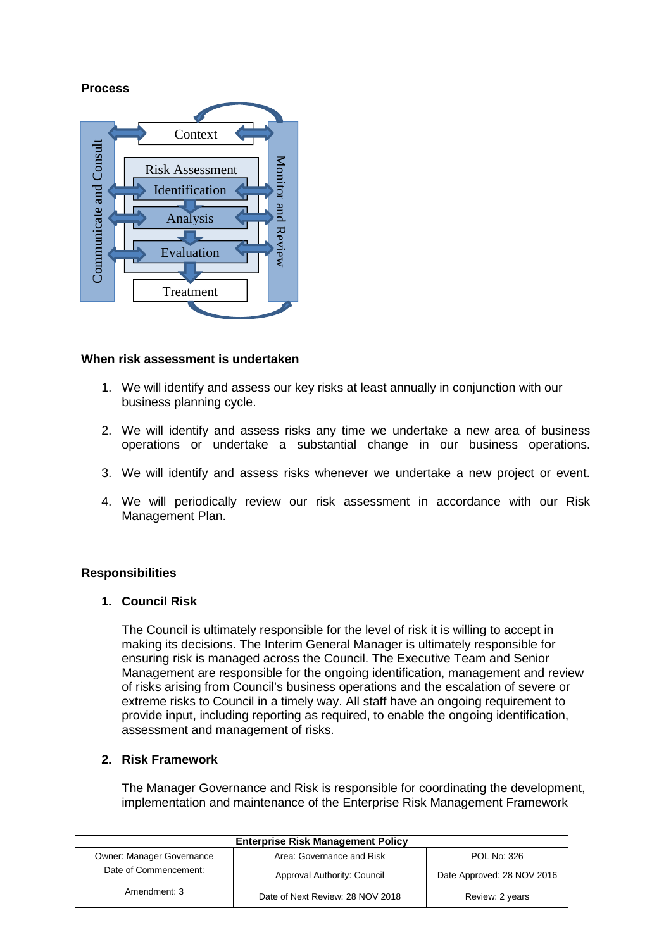# **Process**



#### **When risk assessment is undertaken**

- 1. We will identify and assess our key risks at least annually in conjunction with our business planning cycle.
- 2. We will identify and assess risks any time we undertake a new area of business operations or undertake a substantial change in our business operations.
- 3. We will identify and assess risks whenever we undertake a new project or event.
- 4. We will periodically review our risk assessment in accordance with our Risk Management Plan.

#### **Responsibilities**

#### **1. Council Risk**

The Council is ultimately responsible for the level of risk it is willing to accept in making its decisions. The Interim General Manager is ultimately responsible for ensuring risk is managed across the Council. The Executive Team and Senior Management are responsible for the ongoing identification, management and review of risks arising from Council's business operations and the escalation of severe or extreme risks to Council in a timely way. All staff have an ongoing requirement to provide input, including reporting as required, to enable the ongoing identification, assessment and management of risks.

# **2. Risk Framework**

The Manager Governance and Risk is responsible for coordinating the development, implementation and maintenance of the Enterprise Risk Management Framework

| <b>Enterprise Risk Management Policy</b> |                                  |                            |  |
|------------------------------------------|----------------------------------|----------------------------|--|
| Owner: Manager Governance                | Area: Governance and Risk        | POL No: 326                |  |
| Date of Commencement:                    | Approval Authority: Council      | Date Approved: 28 NOV 2016 |  |
| Amendment: 3                             | Date of Next Review: 28 NOV 2018 | Review: 2 years            |  |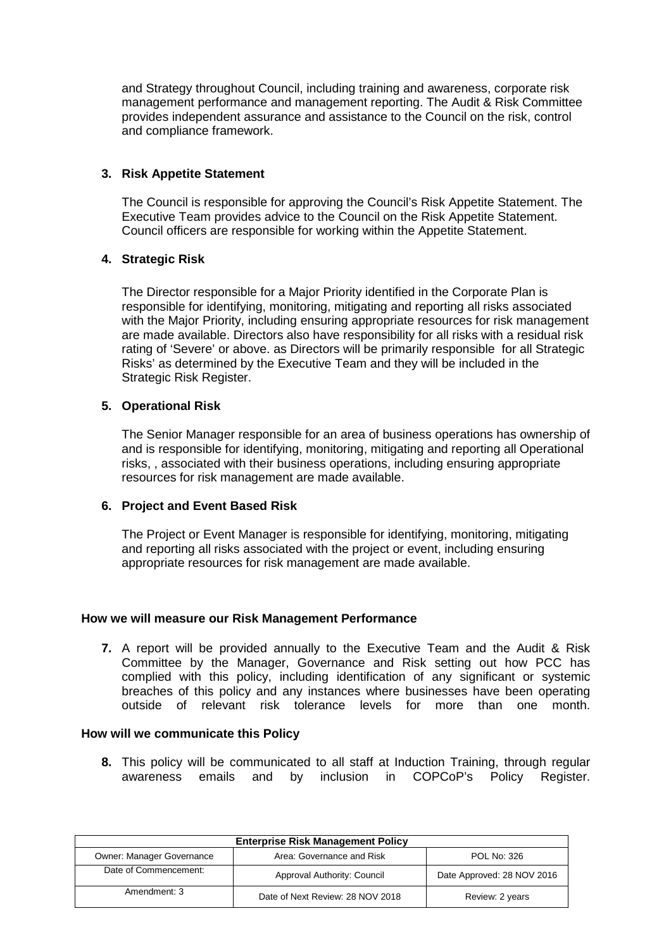and Strategy throughout Council, including training and awareness, corporate risk management performance and management reporting. The Audit & Risk Committee provides independent assurance and assistance to the Council on the risk, control and compliance framework.

# **3. Risk Appetite Statement**

The Council is responsible for approving the Council's Risk Appetite Statement. The Executive Team provides advice to the Council on the Risk Appetite Statement. Council officers are responsible for working within the Appetite Statement.

#### **4. Strategic Risk**

The Director responsible for a Major Priority identified in the Corporate Plan is responsible for identifying, monitoring, mitigating and reporting all risks associated with the Major Priority, including ensuring appropriate resources for risk management are made available. Directors also have responsibility for all risks with a residual risk rating of 'Severe' or above. as Directors will be primarily responsible for all Strategic Risks' as determined by the Executive Team and they will be included in the Strategic Risk Register.

#### **5. Operational Risk**

The Senior Manager responsible for an area of business operations has ownership of and is responsible for identifying, monitoring, mitigating and reporting all Operational risks, , associated with their business operations, including ensuring appropriate resources for risk management are made available.

# **6. Project and Event Based Risk**

The Project or Event Manager is responsible for identifying, monitoring, mitigating and reporting all risks associated with the project or event, including ensuring appropriate resources for risk management are made available.

# **How we will measure our Risk Management Performance**

**7.** A report will be provided annually to the Executive Team and the Audit & Risk Committee by the Manager, Governance and Risk setting out how PCC has complied with this policy, including identification of any significant or systemic breaches of this policy and any instances where businesses have been operating outside of relevant risk tolerance levels for more than one month.

#### **How will we communicate this Policy**

**8.** This policy will be communicated to all staff at Induction Training, through regular awareness emails and by inclusion in COPCoP's Policy Register.

| <b>Enterprise Risk Management Policy</b> |                                  |                            |  |
|------------------------------------------|----------------------------------|----------------------------|--|
| Owner: Manager Governance                | Area: Governance and Risk        | POL No: 326                |  |
| Date of Commencement:                    | Approval Authority: Council      | Date Approved: 28 NOV 2016 |  |
| Amendment: 3                             | Date of Next Review: 28 NOV 2018 | Review: 2 years            |  |